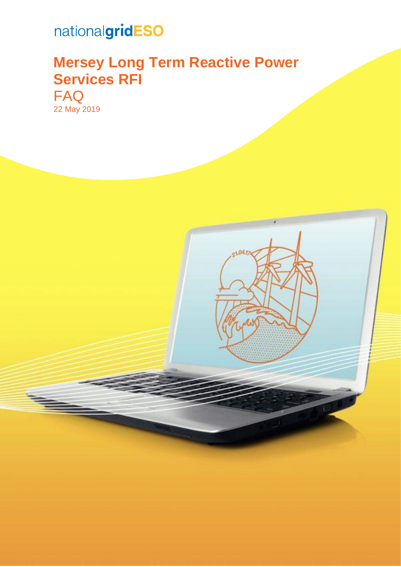# nationalgridESO

# **Mersey Long Term Reactive Power Services RFI**

FAQ 22 May 2019

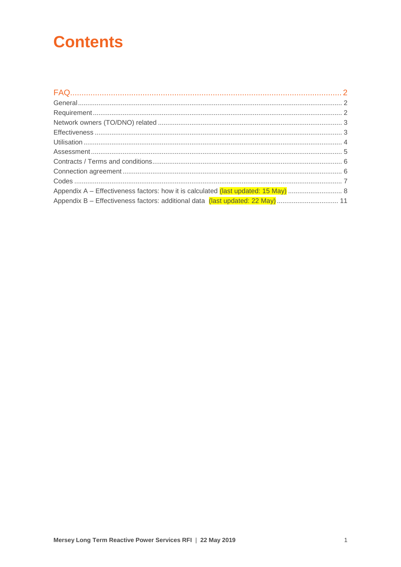# **Contents**

| Appendix B - Effectiveness factors: additional data (last updated: 22 May)  11 |  |
|--------------------------------------------------------------------------------|--|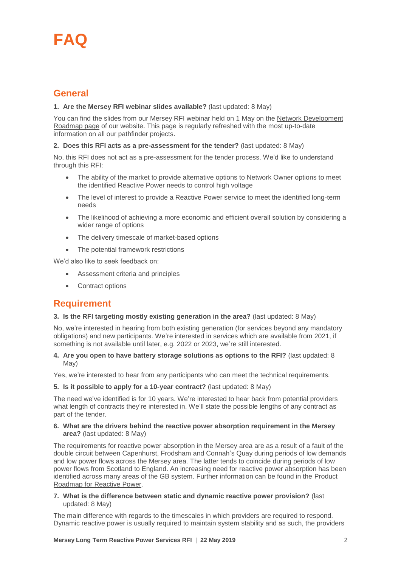# <span id="page-2-0"></span>**FAQ**

## <span id="page-2-1"></span>**General**

#### **1. Are the Mersey RFI webinar slides available?** (last updated: 8 May)

You can find the slides from our Mersey RFI webinar held on 1 May on the [Network Development](https://www.nationalgrideso.com/insights/network-options-assessment-noa/network-development-roadmap?utm_source=Network+Options+Assessment)  [Roadmap page](https://www.nationalgrideso.com/insights/network-options-assessment-noa/network-development-roadmap?utm_source=Network+Options+Assessment) of our website. This page is regularly refreshed with the most up-to-date information on all our pathfinder projects.

#### **2. Does this RFI acts as a pre-assessment for the tender?** (last updated: 8 May)

No, this RFI does not act as a pre-assessment for the tender process. We'd like to understand through this RFI:

- The ability of the market to provide alternative options to Network Owner options to meet the identified Reactive Power needs to control high voltage
- The level of interest to provide a Reactive Power service to meet the identified long-term needs
- The likelihood of achieving a more economic and efficient overall solution by considering a wider range of options
- The delivery timescale of market-based options
- The potential framework restrictions

We'd also like to seek feedback on:

- Assessment criteria and principles
- Contract options

## <span id="page-2-2"></span>**Requirement**

#### **3. Is the RFI targeting mostly existing generation in the area?** (last updated: 8 May)

No, we're interested in hearing from both existing generation (for services beyond any mandatory obligations) and new participants. We're interested in services which are available from 2021, if something is not available until later, e.g. 2022 or 2023, we're still interested.

#### **4. Are you open to have battery storage solutions as options to the RFI?** (last updated: 8 May)

Yes, we're interested to hear from any participants who can meet the technical requirements.

#### **5. Is it possible to apply for a 10-year contract?** (last updated: 8 May)

The need we've identified is for 10 years. We're interested to hear back from potential providers what length of contracts they're interested in. We'll state the possible lengths of any contract as part of the tender.

#### **6. What are the drivers behind the reactive power absorption requirement in the Mersey area?** (last updated: 8 May)

The requirements for reactive power absorption in the Mersey area are as a result of a fault of the double circuit between Capenhurst, Frodsham and Connah's Quay during periods of low demands and low power flows across the Mersey area. The latter tends to coincide during periods of low power flows from Scotland to England. An increasing need for reactive power absorption has been identified across many areas of the GB system. Further information can be found in the [Product](https://www.nationalgrideso.com/sites/eso/files/documents/National%20Grid%20SO%20Product%20Roadmap%20for%20Reactive%20Power.pdf)  [Roadmap for Reactive Power.](https://www.nationalgrideso.com/sites/eso/files/documents/National%20Grid%20SO%20Product%20Roadmap%20for%20Reactive%20Power.pdf)

#### **7. What is the difference between static and dynamic reactive power provision?** (last updated: 8 May)

The main difference with regards to the timescales in which providers are required to respond. Dynamic reactive power is usually required to maintain system stability and as such, the providers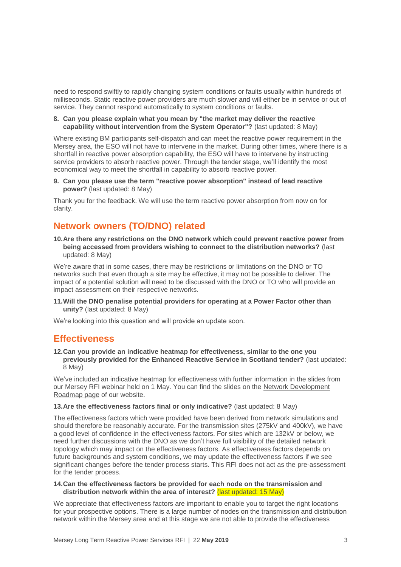need to respond swiftly to rapidly changing system conditions or faults usually within hundreds of milliseconds. Static reactive power providers are much slower and will either be in service or out of service. They cannot respond automatically to system conditions or faults.

#### **8. Can you please explain what you mean by "the market may deliver the reactive capability without intervention from the System Operator"?** (last updated: 8 May)

Where existing BM participants self-dispatch and can meet the reactive power requirement in the Mersey area, the ESO will not have to intervene in the market. During other times, where there is a shortfall in reactive power absorption capability, the ESO will have to intervene by instructing service providers to absorb reactive power. Through the tender stage, we'll identify the most economical way to meet the shortfall in capability to absorb reactive power.

#### **9. Can you please use the term "reactive power absorption" instead of lead reactive power?** (last updated: 8 May)

Thank you for the feedback. We will use the term reactive power absorption from now on for clarity.

## <span id="page-3-0"></span>**Network owners (TO/DNO) related**

**10.Are there any restrictions on the DNO network which could prevent reactive power from being accessed from providers wishing to connect to the distribution networks?** (last updated: 8 May)

We're aware that in some cases, there may be restrictions or limitations on the DNO or TO networks such that even though a site may be effective, it may not be possible to deliver. The impact of a potential solution will need to be discussed with the DNO or TO who will provide an impact assessment on their respective networks.

**11.Will the DNO penalise potential providers for operating at a Power Factor other than unity?** (last updated: 8 May)

We're looking into this question and will provide an update soon.

## <span id="page-3-1"></span>**Effectiveness**

**12.Can you provide an indicative heatmap for effectiveness, similar to the one you previously provided for the Enhanced Reactive Service in Scotland tender?** (last updated: 8 May)

We've included an indicative heatmap for effectiveness with further information in the slides from our Mersey RFI webinar held on 1 May. You can find the slides on the Network Development [Roadmap page](https://www.nationalgrideso.com/insights/network-options-assessment-noa/network-development-roadmap?utm_source=Network+Options+Assessment) of our website.

#### **13.Are the effectiveness factors final or only indicative?** (last updated: 8 May)

The effectiveness factors which were provided have been derived from network simulations and should therefore be reasonably accurate. For the transmission sites (275kV and 400kV), we have a good level of confidence in the effectiveness factors. For sites which are 132kV or below, we need further discussions with the DNO as we don't have full visibility of the detailed network topology which may impact on the effectiveness factors. As effectiveness factors depends on future backgrounds and system conditions, we may update the effectiveness factors if we see significant changes before the tender process starts. This RFI does not act as the pre-assessment for the tender process.

#### **14.Can the effectiveness factors be provided for each node on the transmission and distribution network within the area of interest?** (last updated: 15 May)

We appreciate that effectiveness factors are important to enable you to target the right locations for your prospective options. There is a large number of nodes on the transmission and distribution network within the Mersey area and at this stage we are not able to provide the effectiveness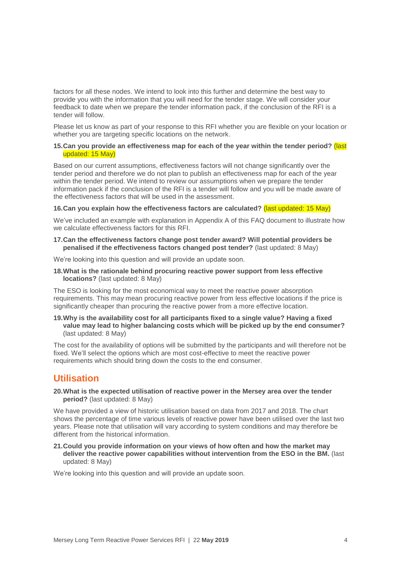factors for all these nodes. We intend to look into this further and determine the best way to provide you with the information that you will need for the tender stage. We will consider your feedback to date when we prepare the tender information pack, if the conclusion of the RFI is a tender will follow.

Please let us know as part of your response to this RFI whether you are flexible on your location or whether you are targeting specific locations on the network.

#### **15.Can you provide an effectiveness map for each of the year within the tender period?** (last updated: 15 May)

Based on our current assumptions, effectiveness factors will not change significantly over the tender period and therefore we do not plan to publish an effectiveness map for each of the year within the tender period. We intend to review our assumptions when we prepare the tender information pack if the conclusion of the RFI is a tender will follow and you will be made aware of the effectiveness factors that will be used in the assessment.

#### **16.Can you explain how the effectiveness factors are calculated?** (last updated: 15 May)

We've included an example with explanation in Appendix A of this FAQ document to illustrate how we calculate effectiveness factors for this RFI.

#### **17.Can the effectiveness factors change post tender award? Will potential providers be penalised if the effectiveness factors changed post tender?** (last updated: 8 May)

We're looking into this question and will provide an update soon.

**18.What is the rationale behind procuring reactive power support from less effective locations?** (last updated: 8 May)

The ESO is looking for the most economical way to meet the reactive power absorption requirements. This may mean procuring reactive power from less effective locations if the price is significantly cheaper than procuring the reactive power from a more effective location.

**19.Why is the availability cost for all participants fixed to a single value? Having a fixed value may lead to higher balancing costs which will be picked up by the end consumer?** (last updated: 8 May)

The cost for the availability of options will be submitted by the participants and will therefore not be fixed. We'll select the options which are most cost-effective to meet the reactive power requirements which should bring down the costs to the end consumer.

## <span id="page-4-0"></span>**Utilisation**

**20.What is the expected utilisation of reactive power in the Mersey area over the tender period?** (last updated: 8 May)

We have provided a view of historic utilisation based on data from 2017 and 2018. The chart shows the percentage of time various levels of reactive power have been utilised over the last two years. Please note that utilisation will vary according to system conditions and may therefore be different from the historical information.

**21.Could you provide information on your views of how often and how the market may deliver the reactive power capabilities without intervention from the ESO in the BM.** (last updated: 8 May)

We're looking into this question and will provide an update soon.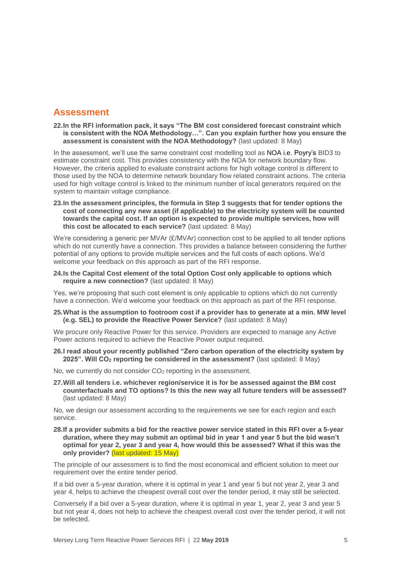## <span id="page-5-0"></span>**Assessment**

**22.In the RFI information pack, it says "The BM cost considered forecast constraint which is consistent with the NOA Methodology…". Can you explain further how you ensure the assessment is consistent with the NOA Methodology?** (last updated: 8 May)

In the assessment, we'll use the same constraint cost modelling tool as NOA i.e. Poyry's BID3 to estimate constraint cost. This provides consistency with the NOA for network boundary flow. However, the criteria applied to evaluate constraint actions for high voltage control is different to those used by the NOA to determine network boundary flow related constraint actions. The criteria used for high voltage control is linked to the minimum number of local generators required on the system to maintain voltage compliance.

**23.In the assessment principles, the formula in Step 3 suggests that for tender options the cost of connecting any new asset (if applicable) to the electricity system will be counted towards the capital cost. If an option is expected to provide multiple services, how will this cost be allocated to each service?** (last updated: 8 May)

We're considering a generic per MVAr (£/MVAr) connection cost to be applied to all tender options which do not currently have a connection. This provides a balance between considering the further potential of any options to provide multiple services and the full costs of each options. We'd welcome your feedback on this approach as part of the RFI response.

**24.Is the Capital Cost element of the total Option Cost only applicable to options which require a new connection?** (last updated: 8 May)

Yes, we're proposing that such cost element is only applicable to options which do not currently have a connection. We'd welcome your feedback on this approach as part of the RFI response.

**25.What is the assumption to footroom cost if a provider has to generate at a min. MW level (e.g. SEL) to provide the Reactive Power Service?** (last updated: 8 May)

We procure only Reactive Power for this service. Providers are expected to manage any Active Power actions required to achieve the Reactive Power output required.

- **26.I read about your recently published "Zero carbon operation of the electricity system by 2025". Will CO<sup>2</sup> reporting be considered in the assessment?** (last updated: 8 May)
- No, we currently do not consider CO<sub>2</sub> reporting in the assessment.
- **27.Will all tenders i.e. whichever region/service it is for be assessed against the BM cost counterfactuals and TO options? Is this the new way all future tenders will be assessed?** (last updated: 8 May)

No, we design our assessment according to the requirements we see for each region and each service.

**28.If a provider submits a bid for the reactive power service stated in this RFI over a 5-year duration, where they may submit an optimal bid in year 1 and year 5 but the bid wasn't optimal for year 2, year 3 and year 4, how would this be assessed? What if this was the only provider?** (last updated: 15 May)

The principle of our assessment is to find the most economical and efficient solution to meet our requirement over the entire tender period.

If a bid over a 5-year duration, where it is optimal in year 1 and year 5 but not year 2, year 3 and year 4, helps to achieve the cheapest overall cost over the tender period, it may still be selected.

Conversely if a bid over a 5-year duration, where it is optimal in year 1, year 2, year 3 and year 5 but not year 4, does not help to achieve the cheapest overall cost over the tender period, it will not be selected.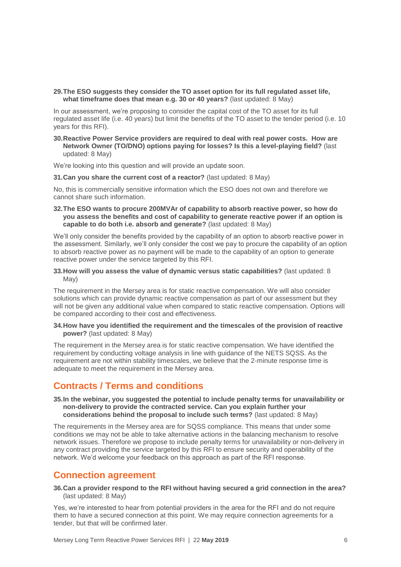**29.The ESO suggests they consider the TO asset option for its full regulated asset life, what timeframe does that mean e.g. 30 or 40 years?** (last updated: 8 May)

In our assessment, we're proposing to consider the capital cost of the TO asset for its full regulated asset life (i.e. 40 years) but limit the benefits of the TO asset to the tender period (i.e. 10 years for this RFI).

**30.Reactive Power Service providers are required to deal with real power costs. How are Network Owner (TO/DNO) options paying for losses? Is this a level-playing field?** (last updated: 8 May)

We're looking into this question and will provide an update soon.

**31.Can you share the current cost of a reactor?** (last updated: 8 May)

No, this is commercially sensitive information which the ESO does not own and therefore we cannot share such information.

**32.The ESO wants to procure 200MVAr of capability to absorb reactive power, so how do you assess the benefits and cost of capability to generate reactive power if an option is capable to do both i.e. absorb and generate?** (last updated: 8 May)

We'll only consider the benefits provided by the capability of an option to absorb reactive power in the assessment. Similarly, we'll only consider the cost we pay to procure the capability of an option to absorb reactive power as no payment will be made to the capability of an option to generate reactive power under the service targeted by this RFI.

#### **33.How will you assess the value of dynamic versus static capabilities?** (last updated: 8 May)

The requirement in the Mersey area is for static reactive compensation. We will also consider solutions which can provide dynamic reactive compensation as part of our assessment but they will not be given any additional value when compared to static reactive compensation. Options will be compared according to their cost and effectiveness.

#### **34.How have you identified the requirement and the timescales of the provision of reactive power?** (last updated: 8 May)

The requirement in the Mersey area is for static reactive compensation. We have identified the requirement by conducting voltage analysis in line with guidance of the NETS SQSS. As the requirement are not within stability timescales, we believe that the 2-minute response time is adequate to meet the requirement in the Mersey area.

## <span id="page-6-0"></span>**Contracts / Terms and conditions**

#### **35.In the webinar, you suggested the potential to include penalty terms for unavailability or non-delivery to provide the contracted service. Can you explain further your considerations behind the proposal to include such terms?** (last updated: 8 May)

The requirements in the Mersey area are for SQSS compliance. This means that under some conditions we may not be able to take alternative actions in the balancing mechanism to resolve network issues. Therefore we propose to include penalty terms for unavailability or non-delivery in any contract providing the service targeted by this RFI to ensure security and operability of the network. We'd welcome your feedback on this approach as part of the RFI response.

## <span id="page-6-1"></span>**Connection agreement**

**36.Can a provider respond to the RFI without having secured a grid connection in the area?** (last updated: 8 May)

Yes, we're interested to hear from potential providers in the area for the RFI and do not require them to have a secured connection at this point. We may require connection agreements for a tender, but that will be confirmed later.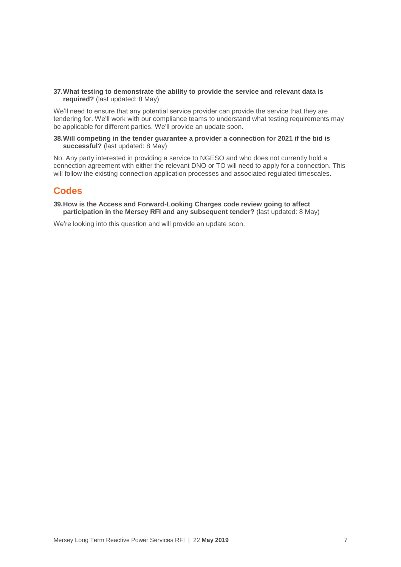**37.What testing to demonstrate the ability to provide the service and relevant data is required?** (last updated: 8 May)

We'll need to ensure that any potential service provider can provide the service that they are tendering for. We'll work with our compliance teams to understand what testing requirements may be applicable for different parties. We'll provide an update soon.

#### **38.Will competing in the tender guarantee a provider a connection for 2021 if the bid is successful?** (last updated: 8 May)

No. Any party interested in providing a service to NGESO and who does not currently hold a connection agreement with either the relevant DNO or TO will need to apply for a connection. This will follow the existing connection application processes and associated regulated timescales.

## <span id="page-7-0"></span>**Codes**

**39.How is the Access and Forward-Looking Charges code review going to affect participation in the Mersey RFI and any subsequent tender?** (last updated: 8 May)

We're looking into this question and will provide an update soon.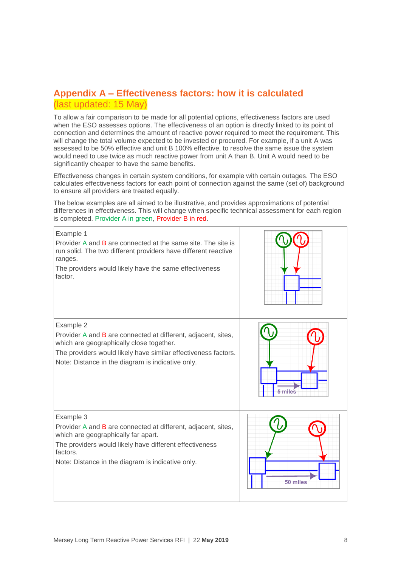## <span id="page-8-0"></span>**Appendix A – Effectiveness factors: how it is calculated** (last updated: 15 May)

To allow a fair comparison to be made for all potential options, effectiveness factors are used when the ESO assesses options. The effectiveness of an option is directly linked to its point of connection and determines the amount of reactive power required to meet the requirement. This will change the total volume expected to be invested or procured. For example, if a unit A was assessed to be 50% effective and unit B 100% effective, to resolve the same issue the system would need to use twice as much reactive power from unit A than B. Unit A would need to be significantly cheaper to have the same benefits.

Effectiveness changes in certain system conditions, for example with certain outages. The ESO calculates effectiveness factors for each point of connection against the same (set of) background to ensure all providers are treated equally.

The below examples are all aimed to be illustrative, and provides approximations of potential differences in effectiveness. This will change when specific technical assessment for each region is completed. Provider A in green, Provider B in red.

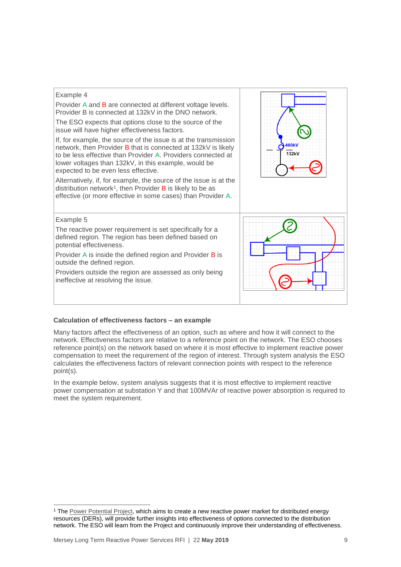

Provider A and B are connected at different voltage levels. Provider B is connected at 132kV in the DNO network.

The ESO expects that options close to the source of the issue will have higher effectiveness factors.

If, for example, the source of the issue is at the transmission network, then Provider B that is connected at 132kV is likely to be less effective than Provider A. Providers connected at lower voltages than 132kV, in this example, would be expected to be even less effective.

Alternatively, if, for example, the source of the issue is at the distribution network<sup>1</sup>, then Provider **B** is likely to be as effective (or more effective in some cases) than Provider A.



#### Example 5

-

The reactive power requirement is set specifically for a defined region. The region has been defined based on potential effectiveness.

Provider A is inside the defined region and Provider B is outside the defined region.

Providers outside the region are assessed as only being ineffective at resolving the issue.



#### **Calculation of effectiveness factors – an example**

Many factors affect the effectiveness of an option, such as where and how it will connect to the network. Effectiveness factors are relative to a reference point on the network. The ESO chooses reference point(s) on the network based on where it is most effective to implement reactive power compensation to meet the requirement of the region of interest. Through system analysis the ESO calculates the effectiveness factors of relevant connection points with respect to the reference point(s).

In the example below, system analysis suggests that it is most effective to implement reactive power compensation at substation Y and that 100MVAr of reactive power absorption is required to meet the system requirement.

<sup>&</sup>lt;sup>1</sup> The [Power Potential Project,](https://www.nationalgrideso.com/innovation/projects/power-potential) which aims to create a new reactive power market for distributed energy resources (DERs), will provide further insights into effectiveness of options connected to the distribution network. The ESO will learn from the Project and continuously improve their understanding of effectiveness.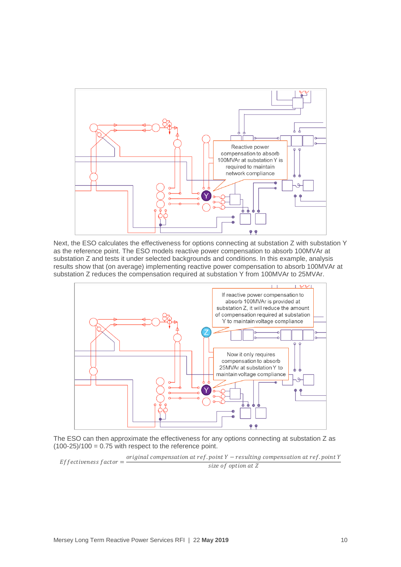

Next, the ESO calculates the effectiveness for options connecting at substation Z with substation Y as the reference point. The ESO models reactive power compensation to absorb 100MVAr at substation Z and tests it under selected backgrounds and conditions. In this example, analysis results show that (on average) implementing reactive power compensation to absorb 100MVAr at substation Z reduces the compensation required at substation Y from 100MVAr to 25MVAr.



The ESO can then approximate the effectiveness for any options connecting at substation Z as  $(100-25)/100 = 0.75$  with respect to the reference point.

Effectiveness factor  $=$  original compensation at ref. point  $Y$  – resulting compensation at ref. point  $Y$ size of option at Z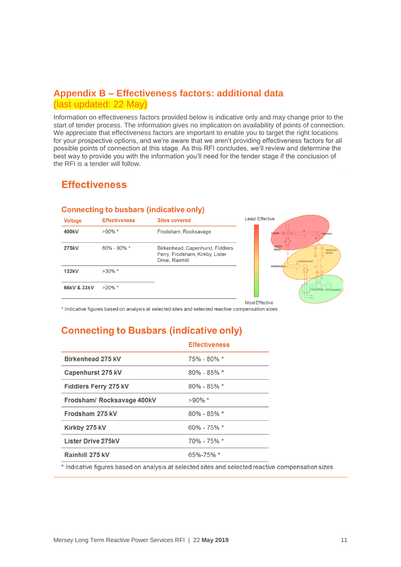## <span id="page-11-0"></span>**Appendix B – Effectiveness factors: additional data**  (last updated: 22 May)

Information on effectiveness factors provided below is indicative only and may change prior to the start of tender process. The information gives no implication on availability of points of connection. We appreciate that effectiveness factors are important to enable you to target the right locations for your prospective options, and we're aware that we aren't providing effectiveness factors for all possible points of connection at this stage. As this RFI concludes, we'll review and determine the best way to provide you with the information you'll need for the tender stage if the conclusion of the RFI is a tender will follow.

## **Effectiveness**

## **Connecting to busbars (indicative only)**

| <b>Voltage</b> | <b>Effectiveness</b> | <b>Sites covered</b>                                                                   | <b>Least Effective</b>                                                        |
|----------------|----------------------|----------------------------------------------------------------------------------------|-------------------------------------------------------------------------------|
| 400kV          | $>90\%$ *            | Frodsham, Rocksavage                                                                   | $K$ RKBY $(3)(1)(2)$<br><b>RAINHILL</b>                                       |
| 275kV          | $60\% - 90\% *$      | Birkenhead, Capenhurst, Fiddlers<br>Ferry, Frodsham, Kirkby, Lister<br>Drive, Rainhill | <b>NSTER</b><br><b>DRIVE</b><br><b>FIDDLERS</b><br><b>FERRY</b><br>CAPENHURST |
| 132kV          | $>30\%$ *            |                                                                                        | <b>BIRKENHEAD</b><br>$\binom{2}{2}$                                           |
| 66kV & 33kV    | $>20\%$ *            |                                                                                        | FRODSHAM ROCKSAVAGE                                                           |
|                |                      |                                                                                        | Most Effective                                                                |

\* Indicative figures based on analysis at selected sites and selected reactive compensation sizes

## **Connecting to Busbars (indicative only)**

|                              | <b>Effectiveness</b> |
|------------------------------|----------------------|
| <b>Birkenhead 275 kV</b>     | $75\% - 80\% *$      |
| Capenhurst 275 kV            | $80\% - 85\% *$      |
| <b>Fiddlers Ferry 275 kV</b> | $80\% - 85\% *$      |
| Frodsham/ Rocksavage 400kV   | $>90\%$ *            |
| Frodsham 275 kV              | $80\% - 85\% *$      |
| Kirkby 275 kV                | $60\% - 75\% *$      |
| <b>Lister Drive 275kV</b>    | 70% - 75% *          |
| Rainhill 275 kV              | $65\% - 75\%$ *      |
|                              |                      |

\* Indicative figures based on analysis at selected sites and selected reactive compensation sizes